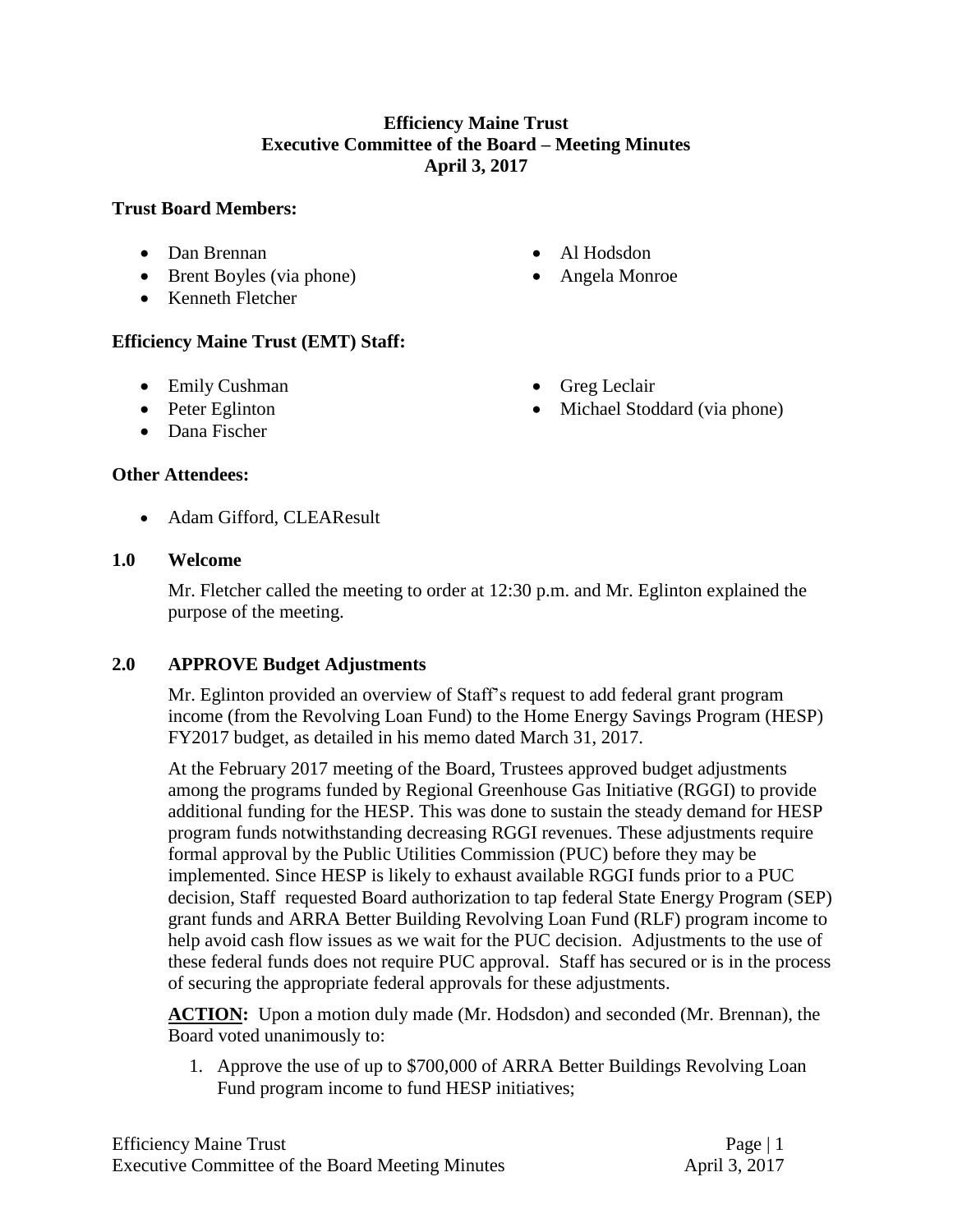### **Efficiency Maine Trust Executive Committee of the Board – Meeting Minutes April 3, 2017**

#### **Trust Board Members:**

- Dan Brennan
- Brent Boyles (via phone)
- Kenneth Fletcher

Al Hodsdon

• Greg Leclair

• Michael Stoddard (via phone)

Angela Monroe

# **Efficiency Maine Trust (EMT) Staff:**

- Emily Cushman
- Peter Eglinton
- Dana Fischer

#### **Other Attendees:**

Adam Gifford, CLEAResult

#### **1.0 Welcome**

Mr. Fletcher called the meeting to order at 12:30 p.m. and Mr. Eglinton explained the purpose of the meeting.

# **2.0 APPROVE Budget Adjustments**

Mr. Eglinton provided an overview of Staff's request to add federal grant program income (from the Revolving Loan Fund) to the Home Energy Savings Program (HESP) FY2017 budget, as detailed in his memo dated March 31, 2017.

At the February 2017 meeting of the Board, Trustees approved budget adjustments among the programs funded by Regional Greenhouse Gas Initiative (RGGI) to provide additional funding for the HESP. This was done to sustain the steady demand for HESP program funds notwithstanding decreasing RGGI revenues. These adjustments require formal approval by the Public Utilities Commission (PUC) before they may be implemented. Since HESP is likely to exhaust available RGGI funds prior to a PUC decision, Staff requested Board authorization to tap federal State Energy Program (SEP) grant funds and ARRA Better Building Revolving Loan Fund (RLF) program income to help avoid cash flow issues as we wait for the PUC decision. Adjustments to the use of these federal funds does not require PUC approval. Staff has secured or is in the process of securing the appropriate federal approvals for these adjustments.

ACTION: Upon a motion duly made (Mr. Hodsdon) and seconded (Mr. Brennan), the Board voted unanimously to:

1. Approve the use of up to \$700,000 of ARRA Better Buildings Revolving Loan Fund program income to fund HESP initiatives;